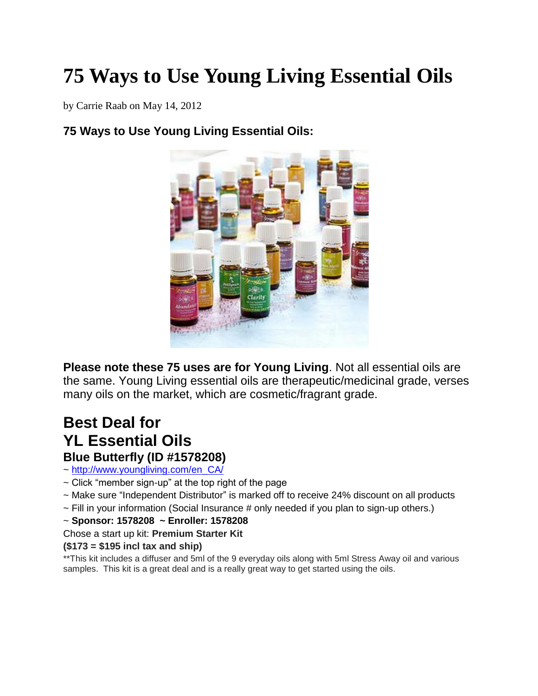# **75 Ways to Use Young Living Essential Oils**

by Carrie Raab on May 14, 2012

# **75 Ways to Use Young Living Essential Oils:**



**Please note these 75 uses are for Young Living**. Not all essential oils are the same. Young Living essential oils are therapeutic/medicinal grade, verses many oils on the market, which are cosmetic/fragrant grade.

# **Best Deal for YL Essential Oils**

#### **Blue Butterfly (ID #1578208)**

~ [http://www.youngliving.com/en\\_CA/](http://www.youngliving.com/en_CA/) 

- $\sim$  Click "member sign-up" at the top right of the page
- ~ Make sure "Independent Distributor" is marked off to receive 24% discount on all products
- $\sim$  Fill in your information (Social Insurance # only needed if you plan to sign-up others.)
- ~ **Sponsor: 1578208 ~ Enroller: 1578208**
- Chose a start up kit: **Premium Starter Kit**

#### **(\$173 = \$195 incl tax and ship)**

\*\*This kit includes a diffuser and 5ml of the 9 everyday oils along with 5ml Stress Away oil and various samples. This kit is a great deal and is a really great way to get started using the oils.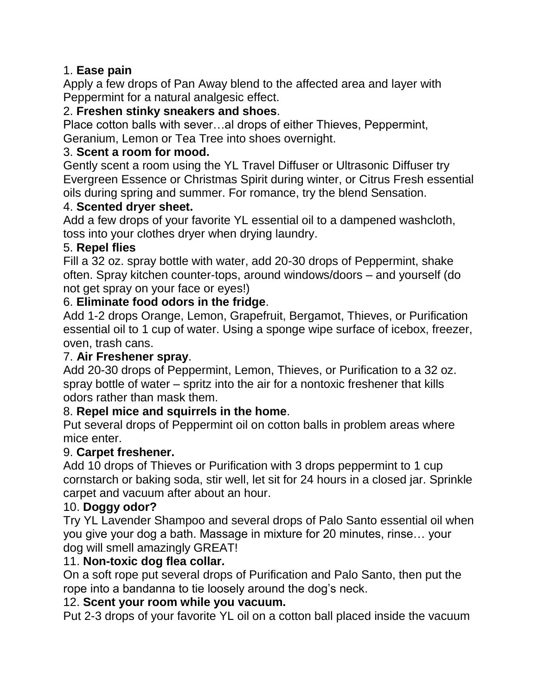#### 1. **Ease pain**

Apply a few drops of Pan Away blend to the affected area and layer with Peppermint for a natural analgesic effect.

#### 2. **Freshen stinky sneakers and shoes**.

Place cotton balls with sever…al drops of either Thieves, Peppermint, Geranium, Lemon or Tea Tree into shoes overnight.

#### 3. **Scent a room for mood.**

Gently scent a room using the YL Travel Diffuser or Ultrasonic Diffuser try Evergreen Essence or Christmas Spirit during winter, or Citrus Fresh essential oils during spring and summer. For romance, try the blend Sensation.

#### 4. **Scented dryer sheet.**

Add a few drops of your favorite YL essential oil to a dampened washcloth, toss into your clothes dryer when drying laundry.

#### 5. **Repel flies**

Fill a 32 oz. spray bottle with water, add 20-30 drops of Peppermint, shake often. Spray kitchen counter-tops, around windows/doors – and yourself (do not get spray on your face or eyes!)

#### 6. **Eliminate food odors in the fridge**.

Add 1-2 drops Orange, Lemon, Grapefruit, Bergamot, Thieves, or Purification essential oil to 1 cup of water. Using a sponge wipe surface of icebox, freezer, oven, trash cans.

#### 7. **Air Freshener spray**.

Add 20-30 drops of Peppermint, Lemon, Thieves, or Purification to a 32 oz. spray bottle of water – spritz into the air for a nontoxic freshener that kills odors rather than mask them.

#### 8. **Repel mice and squirrels in the home**.

Put several drops of Peppermint oil on cotton balls in problem areas where mice enter.

#### 9. **Carpet freshener.**

Add 10 drops of Thieves or Purification with 3 drops peppermint to 1 cup cornstarch or baking soda, stir well, let sit for 24 hours in a closed jar. Sprinkle carpet and vacuum after about an hour.

#### 10. **Doggy odor?**

Try YL Lavender Shampoo and several drops of Palo Santo essential oil when you give your dog a bath. Massage in mixture for 20 minutes, rinse… your dog will smell amazingly GREAT!

#### 11. **Non-toxic dog flea collar.**

On a soft rope put several drops of Purification and Palo Santo, then put the rope into a bandanna to tie loosely around the dog's neck.

#### 12. **Scent your room while you vacuum.**

Put 2-3 drops of your favorite YL oil on a cotton ball placed inside the vacuum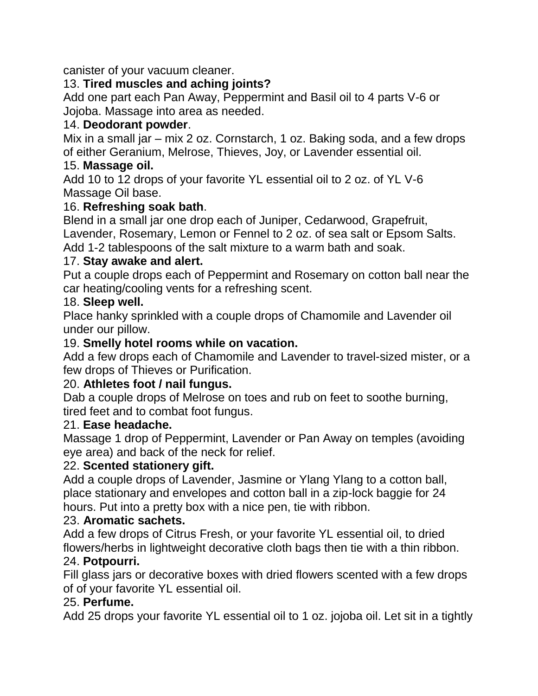canister of your vacuum cleaner.

#### 13. **Tired muscles and aching joints?**

Add one part each Pan Away, Peppermint and Basil oil to 4 parts V-6 or Jojoba. Massage into area as needed.

#### 14. **Deodorant powder**.

Mix in a small jar – mix 2 oz. Cornstarch, 1 oz. Baking soda, and a few drops of either Geranium, Melrose, Thieves, Joy, or Lavender essential oil.

#### 15. **Massage oil.**

Add 10 to 12 drops of your favorite YL essential oil to 2 oz. of YL V-6 Massage Oil base.

# 16. **Refreshing soak bath**.

Blend in a small jar one drop each of Juniper, Cedarwood, Grapefruit, Lavender, Rosemary, Lemon or Fennel to 2 oz. of sea salt or Epsom Salts.

Add 1-2 tablespoons of the salt mixture to a warm bath and soak.

#### 17. **Stay awake and alert.**

Put a couple drops each of Peppermint and Rosemary on cotton ball near the car heating/cooling vents for a refreshing scent.

#### 18. **Sleep well.**

Place hanky sprinkled with a couple drops of Chamomile and Lavender oil under our pillow.

# 19. **Smelly hotel rooms while on vacation.**

Add a few drops each of Chamomile and Lavender to travel-sized mister, or a few drops of Thieves or Purification.

#### 20. **Athletes foot / nail fungus.**

Dab a couple drops of Melrose on toes and rub on feet to soothe burning, tired feet and to combat foot fungus.

#### 21. **Ease headache.**

Massage 1 drop of Peppermint, Lavender or Pan Away on temples (avoiding eye area) and back of the neck for relief.

#### 22. **Scented stationery gift.**

Add a couple drops of Lavender, Jasmine or Ylang Ylang to a cotton ball, place stationary and envelopes and cotton ball in a zip-lock baggie for 24 hours. Put into a pretty box with a nice pen, tie with ribbon.

#### 23. **Aromatic sachets.**

Add a few drops of Citrus Fresh, or your favorite YL essential oil, to dried flowers/herbs in lightweight decorative cloth bags then tie with a thin ribbon.

#### 24. **Potpourri.**

Fill glass jars or decorative boxes with dried flowers scented with a few drops of of your favorite YL essential oil.

#### 25. **Perfume.**

Add 25 drops your favorite YL essential oil to 1 oz. jojoba oil. Let sit in a tightly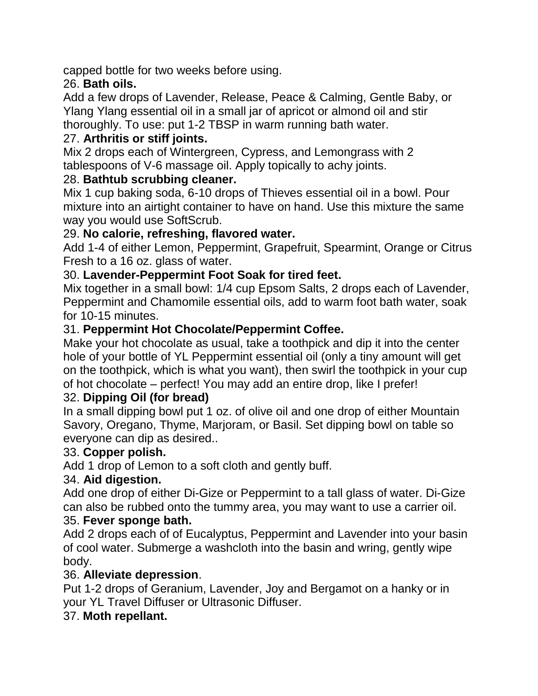capped bottle for two weeks before using.

# 26. **Bath oils.**

Add a few drops of Lavender, Release, Peace & Calming, Gentle Baby, or Ylang Ylang essential oil in a small jar of apricot or almond oil and stir thoroughly. To use: put 1-2 TBSP in warm running bath water.

#### 27. **Arthritis or stiff joints.**

Mix 2 drops each of Wintergreen, Cypress, and Lemongrass with 2 tablespoons of V-6 massage oil. Apply topically to achy joints.

#### 28. **Bathtub scrubbing cleaner.**

Mix 1 cup baking soda, 6-10 drops of Thieves essential oil in a bowl. Pour mixture into an airtight container to have on hand. Use this mixture the same way you would use SoftScrub.

#### 29. **No calorie, refreshing, flavored water.**

Add 1-4 of either Lemon, Peppermint, Grapefruit, Spearmint, Orange or Citrus Fresh to a 16 oz. glass of water.

#### 30. **Lavender-Peppermint Foot Soak for tired feet.**

Mix together in a small bowl: 1/4 cup Epsom Salts, 2 drops each of Lavender, Peppermint and Chamomile essential oils, add to warm foot bath water, soak for 10-15 minutes.

#### 31. **Peppermint Hot Chocolate/Peppermint Coffee.**

Make your hot chocolate as usual, take a toothpick and dip it into the center hole of your bottle of YL Peppermint essential oil (only a tiny amount will get on the toothpick, which is what you want), then swirl the toothpick in your cup of hot chocolate – perfect! You may add an entire drop, like I prefer!

#### 32. **Dipping Oil (for bread)**

In a small dipping bowl put 1 oz. of olive oil and one drop of either Mountain Savory, Oregano, Thyme, Marjoram, or Basil. Set dipping bowl on table so everyone can dip as desired..

#### 33. **Copper polish.**

Add 1 drop of Lemon to a soft cloth and gently buff.

#### 34. **Aid digestion.**

Add one drop of either Di-Gize or Peppermint to a tall glass of water. Di-Gize can also be rubbed onto the tummy area, you may want to use a carrier oil.

#### 35. **Fever sponge bath.**

Add 2 drops each of of Eucalyptus, Peppermint and Lavender into your basin of cool water. Submerge a washcloth into the basin and wring, gently wipe body.

#### 36. **Alleviate depression**.

Put 1-2 drops of Geranium, Lavender, Joy and Bergamot on a hanky or in your YL Travel Diffuser or Ultrasonic Diffuser.

#### 37. **Moth repellant.**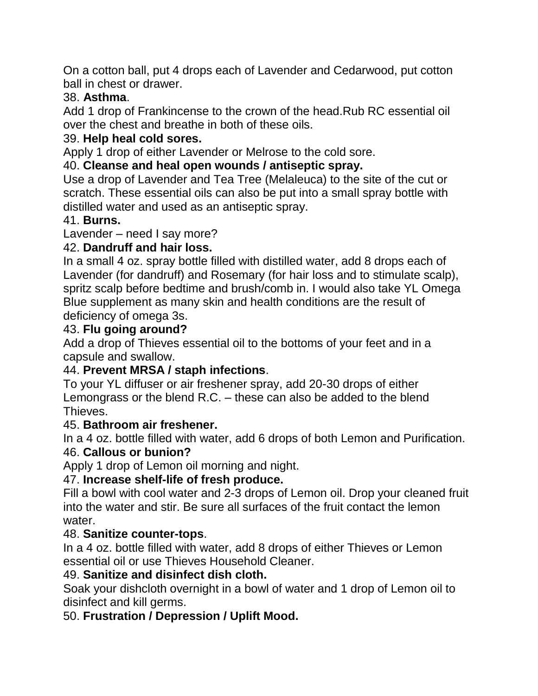On a cotton ball, put 4 drops each of Lavender and Cedarwood, put cotton ball in chest or drawer.

#### 38. **Asthma**.

Add 1 drop of Frankincense to the crown of the head.Rub RC essential oil over the chest and breathe in both of these oils.

# 39. **Help heal cold sores.**

Apply 1 drop of either Lavender or Melrose to the cold sore.

# 40. **Cleanse and heal open wounds / antiseptic spray.**

Use a drop of Lavender and Tea Tree (Melaleuca) to the site of the cut or scratch. These essential oils can also be put into a small spray bottle with distilled water and used as an antiseptic spray.

#### 41. **Burns.**

Lavender – need I say more?

#### 42. **Dandruff and hair loss.**

In a small 4 oz. spray bottle filled with distilled water, add 8 drops each of Lavender (for dandruff) and Rosemary (for hair loss and to stimulate scalp), spritz scalp before bedtime and brush/comb in. I would also take YL Omega Blue supplement as many skin and health conditions are the result of deficiency of omega 3s.

#### 43. **Flu going around?**

Add a drop of Thieves essential oil to the bottoms of your feet and in a capsule and swallow.

# 44. **Prevent MRSA / staph infections**.

To your YL diffuser or air freshener spray, add 20-30 drops of either Lemongrass or the blend R.C. – these can also be added to the blend Thieves.

#### 45. **Bathroom air freshener.**

In a 4 oz. bottle filled with water, add 6 drops of both Lemon and Purification. 46. **Callous or bunion?**

Apply 1 drop of Lemon oil morning and night.

# 47. **Increase shelf-life of fresh produce.**

Fill a bowl with cool water and 2-3 drops of Lemon oil. Drop your cleaned fruit into the water and stir. Be sure all surfaces of the fruit contact the lemon water.

# 48. **Sanitize counter-tops**.

In a 4 oz. bottle filled with water, add 8 drops of either Thieves or Lemon essential oil or use Thieves Household Cleaner.

#### 49. **Sanitize and disinfect dish cloth.**

Soak your dishcloth overnight in a bowl of water and 1 drop of Lemon oil to disinfect and kill germs.

# 50. **Frustration / Depression / Uplift Mood.**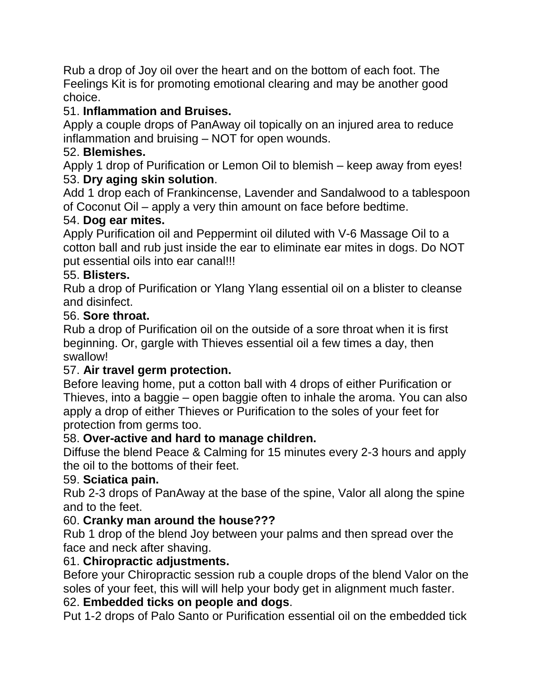Rub a drop of Joy oil over the heart and on the bottom of each foot. The Feelings Kit is for promoting emotional clearing and may be another good choice.

#### 51. **Inflammation and Bruises.**

Apply a couple drops of PanAway oil topically on an injured area to reduce inflammation and bruising – NOT for open wounds.

#### 52. **Blemishes.**

Apply 1 drop of Purification or Lemon Oil to blemish – keep away from eyes! 53. **Dry aging skin solution**.

Add 1 drop each of Frankincense, Lavender and Sandalwood to a tablespoon of Coconut Oil – apply a very thin amount on face before bedtime.

#### 54. **Dog ear mites.**

Apply Purification oil and Peppermint oil diluted with V-6 Massage Oil to a cotton ball and rub just inside the ear to eliminate ear mites in dogs. Do NOT put essential oils into ear canal!!!

#### 55. **Blisters.**

Rub a drop of Purification or Ylang Ylang essential oil on a blister to cleanse and disinfect.

#### 56. **Sore throat.**

Rub a drop of Purification oil on the outside of a sore throat when it is first beginning. Or, gargle with Thieves essential oil a few times a day, then swallow!

#### 57. **Air travel germ protection.**

Before leaving home, put a cotton ball with 4 drops of either Purification or Thieves, into a baggie – open baggie often to inhale the aroma. You can also apply a drop of either Thieves or Purification to the soles of your feet for protection from germs too.

#### 58. **Over-active and hard to manage children.**

Diffuse the blend Peace & Calming for 15 minutes every 2-3 hours and apply the oil to the bottoms of their feet.

#### 59. **Sciatica pain.**

Rub 2-3 drops of PanAway at the base of the spine, Valor all along the spine and to the feet.

#### 60. **Cranky man around the house???**

Rub 1 drop of the blend Joy between your palms and then spread over the face and neck after shaving.

#### 61. **Chiropractic adjustments.**

Before your Chiropractic session rub a couple drops of the blend Valor on the soles of your feet, this will will help your body get in alignment much faster.

#### 62. **Embedded ticks on people and dogs**.

Put 1-2 drops of Palo Santo or Purification essential oil on the embedded tick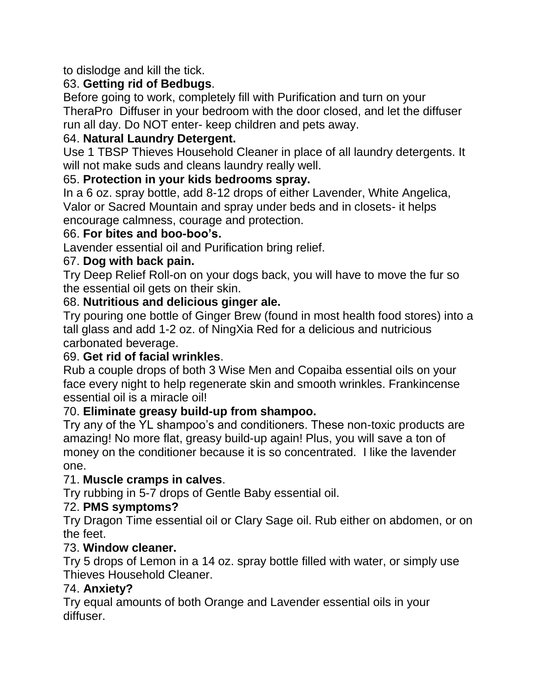to dislodge and kill the tick.

# 63. **Getting rid of Bedbugs**.

Before going to work, completely fill with Purification and turn on your TheraPro Diffuser in your bedroom with the door closed, and let the diffuser run all day. Do NOT enter- keep children and pets away.

#### 64. **Natural Laundry Detergent.**

Use 1 TBSP Thieves Household Cleaner in place of all laundry detergents. It will not make suds and cleans laundry really well.

#### 65. **Protection in your kids bedrooms spray.**

In a 6 oz. spray bottle, add 8-12 drops of either Lavender, White Angelica, Valor or Sacred Mountain and spray under beds and in closets- it helps encourage calmness, courage and protection.

#### 66. **For bites and boo-boo's.**

Lavender essential oil and Purification bring relief.

#### 67. **Dog with back pain.**

Try Deep Relief Roll-on on your dogs back, you will have to move the fur so the essential oil gets on their skin.

#### 68. **Nutritious and delicious ginger ale.**

Try pouring one bottle of Ginger Brew (found in most health food stores) into a tall glass and add 1-2 oz. of NingXia Red for a delicious and nutricious carbonated beverage.

#### 69. **Get rid of facial wrinkles**.

Rub a couple drops of both 3 Wise Men and Copaiba essential oils on your face every night to help regenerate skin and smooth wrinkles. Frankincense essential oil is a miracle oil!

#### 70. **Eliminate greasy build-up from shampoo.**

Try any of the YL shampoo's and conditioners. These non-toxic products are amazing! No more flat, greasy build-up again! Plus, you will save a ton of money on the conditioner because it is so concentrated. I like the lavender one.

#### 71. **Muscle cramps in calves**.

Try rubbing in 5-7 drops of Gentle Baby essential oil.

#### 72. **PMS symptoms?**

Try Dragon Time essential oil or Clary Sage oil. Rub either on abdomen, or on the feet.

#### 73. **Window cleaner.**

Try 5 drops of Lemon in a 14 oz. spray bottle filled with water, or simply use Thieves Household Cleaner.

#### 74. **Anxiety?**

Try equal amounts of both Orange and Lavender essential oils in your diffuser.